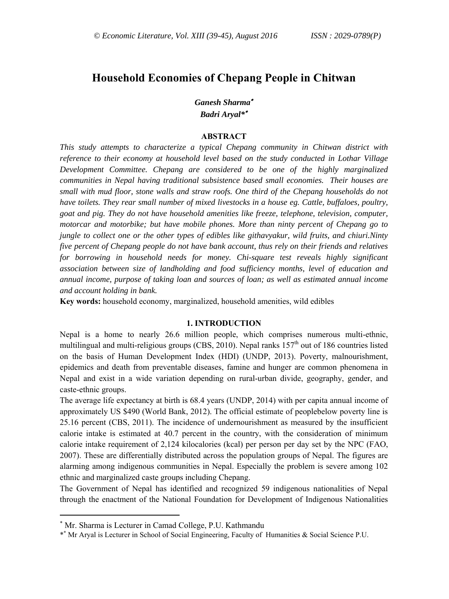# **Household Economies of Chepang People in Chitwan**

*Ganesh Sharma Badri Aryal\**

### **ABSTRACT**

*This study attempts to characterize a typical Chepang community in Chitwan district with reference to their economy at household level based on the study conducted in Lothar Village Development Committee. Chepang are considered to be one of the highly marginalized communities in Nepal having traditional subsistence based small economies. Their houses are small with mud floor, stone walls and straw roofs. One third of the Chepang households do not have toilets. They rear small number of mixed livestocks in a house eg. Cattle, buffaloes, poultry, goat and pig. They do not have household amenities like freeze, telephone, television, computer, motorcar and motorbike; but have mobile phones. More than ninty percent of Chepang go to jungle to collect one or the other types of edibles like githavyakur, wild fruits, and chiuri.Ninty five percent of Chepang people do not have bank account, thus rely on their friends and relatives for borrowing in household needs for money. Chi-square test reveals highly significant association between size of landholding and food sufficiency months, level of education and annual income, purpose of taking loan and sources of loan; as well as estimated annual income and account holding in bank.* 

**Key words:** household economy, marginalized, household amenities, wild edibles

### **1. INTRODUCTION**

Nepal is a home to nearly 26.6 million people, which comprises numerous multi-ethnic, multilingual and multi-religious groups (CBS, 2010). Nepal ranks  $157<sup>th</sup>$  out of 186 countries listed on the basis of Human Development Index (HDI) (UNDP, 2013). Poverty, malnourishment, epidemics and death from preventable diseases, famine and hunger are common phenomena in Nepal and exist in a wide variation depending on rural-urban divide, geography, gender, and caste-ethnic groups.

The average life expectancy at birth is 68.4 years (UNDP, 2014) with per capita annual income of approximately US \$490 (World Bank, 2012). The official estimate of peoplebelow poverty line is 25.16 percent (CBS, 2011). The incidence of undernourishment as measured by the insufficient calorie intake is estimated at 40.7 percent in the country, with the consideration of minimum calorie intake requirement of 2,124 kilocalories (kcal) per person per day set by the NPC (FAO, 2007). These are differentially distributed across the population groups of Nepal. The figures are alarming among indigenous communities in Nepal. Especially the problem is severe among 102 ethnic and marginalized caste groups including Chepang.

The Government of Nepal has identified and recognized 59 indigenous nationalities of Nepal through the enactment of the National Foundation for Development of Indigenous Nationalities

 $\overline{a}$ 

 Mr. Sharma is Lecturer in Camad College, P.U. Kathmandu

<sup>\*</sup> Mr Aryal is Lecturer in School of Social Engineering, Faculty of Humanities & Social Science P.U.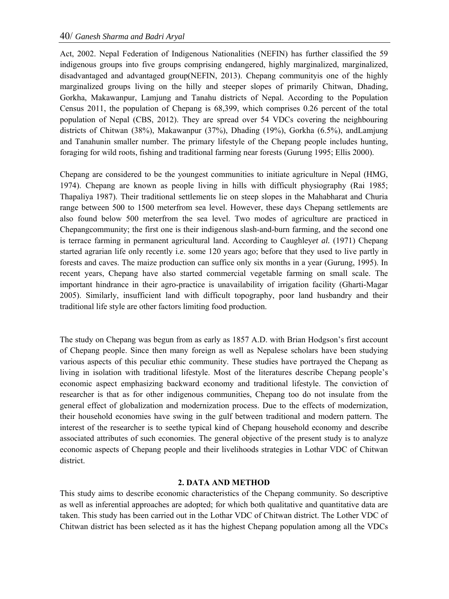Act, 2002. Nepal Federation of Indigenous Nationalities (NEFIN) has further classified the 59 indigenous groups into five groups comprising endangered, highly marginalized, marginalized, disadvantaged and advantaged group(NEFIN, 2013). Chepang communityis one of the highly marginalized groups living on the hilly and steeper slopes of primarily Chitwan, Dhading, Gorkha, Makawanpur, Lamjung and Tanahu districts of Nepal. According to the Population Census 2011, the population of Chepang is 68,399, which comprises 0.26 percent of the total population of Nepal (CBS, 2012). They are spread over 54 VDCs covering the neighbouring districts of Chitwan (38%), Makawanpur (37%), Dhading (19%), Gorkha (6.5%), andLamjung and Tanahunin smaller number. The primary lifestyle of the Chepang people includes hunting, foraging for wild roots, fishing and traditional farming near forests (Gurung 1995; Ellis 2000).

Chepang are considered to be the youngest communities to initiate agriculture in Nepal (HMG, 1974). Chepang are known as people living in hills with difficult physiography (Rai 1985; Thapaliya 1987). Their traditional settlements lie on steep slopes in the Mahabharat and Churia range between 500 to 1500 meterfrom sea level. However, these days Chepang settlements are also found below 500 meterfrom the sea level. Two modes of agriculture are practiced in Chepangcommunity; the first one is their indigenous slash-and-burn farming, and the second one is terrace farming in permanent agricultural land. According to Caughley*et al.* (1971) Chepang started agrarian life only recently i.e. some 120 years ago; before that they used to live partly in forests and caves. The maize production can suffice only six months in a year (Gurung, 1995). In recent years, Chepang have also started commercial vegetable farming on small scale. The important hindrance in their agro-practice is unavailability of irrigation facility (Gharti-Magar 2005). Similarly, insufficient land with difficult topography, poor land husbandry and their traditional life style are other factors limiting food production.

The study on Chepang was begun from as early as 1857 A.D. with Brian Hodgson's first account of Chepang people. Since then many foreign as well as Nepalese scholars have been studying various aspects of this peculiar ethic community. These studies have portrayed the Chepang as living in isolation with traditional lifestyle. Most of the literatures describe Chepang people's economic aspect emphasizing backward economy and traditional lifestyle. The conviction of researcher is that as for other indigenous communities, Chepang too do not insulate from the general effect of globalization and modernization process. Due to the effects of modernization, their household economies have swing in the gulf between traditional and modern pattern. The interest of the researcher is to seethe typical kind of Chepang household economy and describe associated attributes of such economies. The general objective of the present study is to analyze economic aspects of Chepang people and their livelihoods strategies in Lothar VDC of Chitwan district.

# **2. DATA AND METHOD**

This study aims to describe economic characteristics of the Chepang community. So descriptive as well as inferential approaches are adopted; for which both qualitative and quantitative data are taken. This study has been carried out in the Lothar VDC of Chitwan district. The Lother VDC of Chitwan district has been selected as it has the highest Chepang population among all the VDCs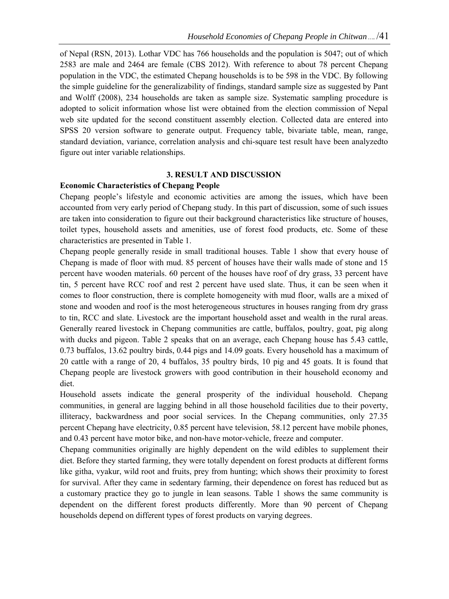of Nepal (RSN, 2013). Lothar VDC has 766 households and the population is 5047; out of which 2583 are male and 2464 are female (CBS 2012). With reference to about 78 percent Chepang population in the VDC, the estimated Chepang households is to be 598 in the VDC. By following the simple guideline for the generalizability of findings, standard sample size as suggested by Pant and Wolff (2008), 234 households are taken as sample size. Systematic sampling procedure is adopted to solicit information whose list were obtained from the election commission of Nepal web site updated for the second constituent assembly election. Collected data are entered into SPSS 20 version software to generate output. Frequency table, bivariate table, mean, range, standard deviation, variance, correlation analysis and chi-square test result have been analyzedto figure out inter variable relationships.

# **3. RESULT AND DISCUSSION**

#### **Economic Characteristics of Chepang People**

Chepang people's lifestyle and economic activities are among the issues, which have been accounted from very early period of Chepang study. In this part of discussion, some of such issues are taken into consideration to figure out their background characteristics like structure of houses, toilet types, household assets and amenities, use of forest food products, etc. Some of these characteristics are presented in Table 1.

Chepang people generally reside in small traditional houses. Table 1 show that every house of Chepang is made of floor with mud. 85 percent of houses have their walls made of stone and 15 percent have wooden materials. 60 percent of the houses have roof of dry grass, 33 percent have tin, 5 percent have RCC roof and rest 2 percent have used slate. Thus, it can be seen when it comes to floor construction, there is complete homogeneity with mud floor, walls are a mixed of stone and wooden and roof is the most heterogeneous structures in houses ranging from dry grass to tin, RCC and slate. Livestock are the important household asset and wealth in the rural areas. Generally reared livestock in Chepang communities are cattle, buffalos, poultry, goat, pig along with ducks and pigeon. Table 2 speaks that on an average, each Chepang house has 5.43 cattle, 0.73 buffalos, 13.62 poultry birds, 0.44 pigs and 14.09 goats. Every household has a maximum of 20 cattle with a range of 20, 4 buffalos, 35 poultry birds, 10 pig and 45 goats. It is found that Chepang people are livestock growers with good contribution in their household economy and diet.

Household assets indicate the general prosperity of the individual household. Chepang communities, in general are lagging behind in all those household facilities due to their poverty, illiteracy, backwardness and poor social services. In the Chepang communities, only 27.35 percent Chepang have electricity, 0.85 percent have television, 58.12 percent have mobile phones, and 0.43 percent have motor bike, and non-have motor-vehicle, freeze and computer.

Chepang communities originally are highly dependent on the wild edibles to supplement their diet. Before they started farming, they were totally dependent on forest products at different forms like githa, vyakur, wild root and fruits, prey from hunting; which shows their proximity to forest for survival. After they came in sedentary farming, their dependence on forest has reduced but as a customary practice they go to jungle in lean seasons. Table 1 shows the same community is dependent on the different forest products differently. More than 90 percent of Chepang households depend on different types of forest products on varying degrees.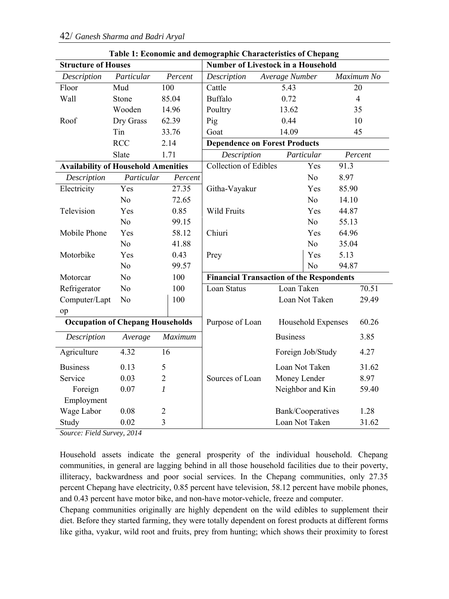| <b>Structure of Houses</b>                 |                                         |                         | таріс т. есопонис ана асшодгарше спатасіствися от сперапд<br><b>Number of Livestock in a Household</b> |                    |                |  |  |
|--------------------------------------------|-----------------------------------------|-------------------------|--------------------------------------------------------------------------------------------------------|--------------------|----------------|--|--|
| Description                                | Particular                              | Percent                 | Description                                                                                            | Average Number     | Maximum No     |  |  |
| Floor                                      | Mud                                     | 100                     | Cattle                                                                                                 | 5.43               | 20             |  |  |
| Wall                                       | Stone                                   | 85.04                   | <b>Buffalo</b>                                                                                         | 0.72               | $\overline{4}$ |  |  |
|                                            | Wooden                                  | 14.96                   | Poultry                                                                                                | 13.62              | 35             |  |  |
| Roof                                       | Dry Grass                               | 62.39                   | Pig                                                                                                    | 0.44               | 10             |  |  |
|                                            | Tin                                     | 33.76                   | Goat                                                                                                   | 14.09              | 45             |  |  |
|                                            | <b>RCC</b>                              | 2.14                    | <b>Dependence on Forest Products</b>                                                                   |                    |                |  |  |
|                                            | Slate                                   | 1.71                    | Description                                                                                            | Particular         | Percent        |  |  |
| <b>Availability of Household Amenities</b> |                                         |                         | Collection of Edibles                                                                                  | Yes                | 91.3           |  |  |
| Description                                | Particular                              | Percent                 |                                                                                                        | N <sub>0</sub>     | 8.97           |  |  |
| Electricity                                | Yes                                     | 27.35                   | Githa-Vayakur                                                                                          | Yes                | 85.90          |  |  |
|                                            | N <sub>0</sub>                          | 72.65                   |                                                                                                        | N <sub>o</sub>     | 14.10          |  |  |
| Television                                 | Yes                                     | 0.85                    | Wild Fruits                                                                                            | Yes                | 44.87          |  |  |
|                                            | N <sub>0</sub>                          | 99.15                   |                                                                                                        | N <sub>o</sub>     | 55.13          |  |  |
| Mobile Phone                               | Yes                                     | 58.12                   | Chiuri                                                                                                 | Yes                | 64.96          |  |  |
|                                            | N <sub>o</sub>                          | 41.88                   |                                                                                                        | No                 | 35.04          |  |  |
| Motorbike                                  | Yes                                     | 0.43                    | Prey                                                                                                   | Yes                | 5.13           |  |  |
|                                            | No                                      | 99.57                   |                                                                                                        | N <sub>o</sub>     | 94.87          |  |  |
| Motorcar                                   | No                                      | 100                     | <b>Financial Transaction of the Respondents</b>                                                        |                    |                |  |  |
| Refrigerator                               | No                                      | 100                     | Loan Status                                                                                            | Loan Taken         | 70.51          |  |  |
| Computer/Lapt                              | No                                      | 100                     |                                                                                                        | Loan Not Taken     | 29.49          |  |  |
| op                                         |                                         |                         |                                                                                                        |                    |                |  |  |
|                                            | <b>Occupation of Chepang Households</b> |                         | Purpose of Loan                                                                                        | Household Expenses | 60.26          |  |  |
| Description                                | Average                                 | Maximum                 |                                                                                                        | <b>Business</b>    | 3.85           |  |  |
| Agriculture                                | 4.32                                    | 16                      |                                                                                                        | Foreign Job/Study  | 4.27           |  |  |
| <b>Business</b>                            | 0.13                                    | 5                       |                                                                                                        | Loan Not Taken     | 31.62          |  |  |
| Service                                    | 0.03                                    | $\overline{c}$          | Sources of Loan                                                                                        | Money Lender       | 8.97           |  |  |
| Foreign                                    | 0.07                                    | $\boldsymbol{l}$        |                                                                                                        | Neighbor and Kin   | 59.40          |  |  |
| Employment                                 |                                         |                         |                                                                                                        |                    |                |  |  |
| Wage Labor                                 | 0.08                                    | $\overline{c}$          |                                                                                                        | Bank/Cooperatives  | 1.28           |  |  |
| Study                                      | 0.02                                    | $\overline{\mathbf{3}}$ |                                                                                                        | Loan Not Taken     | 31.62          |  |  |

**Table 1: Economic and demographic Characteristics of Chepang** 

*Source: Field Survey, 2014* 

Household assets indicate the general prosperity of the individual household. Chepang communities, in general are lagging behind in all those household facilities due to their poverty, illiteracy, backwardness and poor social services. In the Chepang communities, only 27.35 percent Chepang have electricity, 0.85 percent have television, 58.12 percent have mobile phones, and 0.43 percent have motor bike, and non-have motor-vehicle, freeze and computer.

Chepang communities originally are highly dependent on the wild edibles to supplement their diet. Before they started farming, they were totally dependent on forest products at different forms like githa, vyakur, wild root and fruits, prey from hunting; which shows their proximity to forest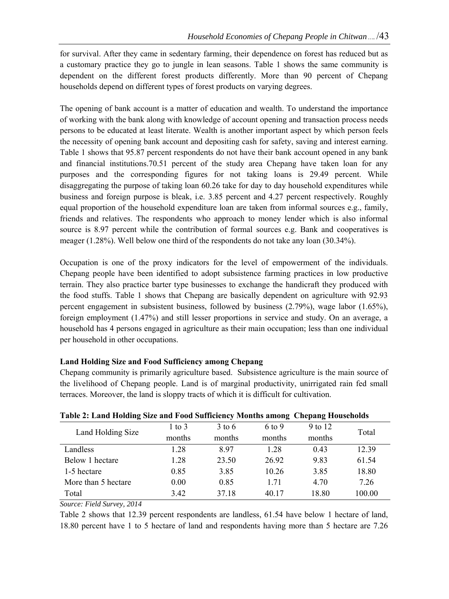for survival. After they came in sedentary farming, their dependence on forest has reduced but as a customary practice they go to jungle in lean seasons. Table 1 shows the same community is dependent on the different forest products differently. More than 90 percent of Chepang households depend on different types of forest products on varying degrees.

The opening of bank account is a matter of education and wealth. To understand the importance of working with the bank along with knowledge of account opening and transaction process needs persons to be educated at least literate. Wealth is another important aspect by which person feels the necessity of opening bank account and depositing cash for safety, saving and interest earning. Table 1 shows that 95.87 percent respondents do not have their bank account opened in any bank and financial institutions.70.51 percent of the study area Chepang have taken loan for any purposes and the corresponding figures for not taking loans is 29.49 percent. While disaggregating the purpose of taking loan 60.26 take for day to day household expenditures while business and foreign purpose is bleak, i.e. 3.85 percent and 4.27 percent respectively. Roughly equal proportion of the household expenditure loan are taken from informal sources e.g., family, friends and relatives. The respondents who approach to money lender which is also informal source is 8.97 percent while the contribution of formal sources e.g. Bank and cooperatives is meager (1.28%). Well below one third of the respondents do not take any loan (30.34%).

Occupation is one of the proxy indicators for the level of empowerment of the individuals. Chepang people have been identified to adopt subsistence farming practices in low productive terrain. They also practice barter type businesses to exchange the handicraft they produced with the food stuffs. Table 1 shows that Chepang are basically dependent on agriculture with 92.93 percent engagement in subsistent business, followed by business (2.79%), wage labor (1.65%), foreign employment (1.47%) and still lesser proportions in service and study. On an average, a household has 4 persons engaged in agriculture as their main occupation; less than one individual per household in other occupations.

# **Land Holding Size and Food Sufficiency among Chepang**

Chepang community is primarily agriculture based. Subsistence agriculture is the main source of the livelihood of Chepang people. Land is of marginal productivity, unirrigated rain fed small terraces. Moreover, the land is sloppy tracts of which it is difficult for cultivation.

| Table 2: Eand Holding Size and I bod Sufficiency months among Chepang Households |            |          |        |         |        |  |  |
|----------------------------------------------------------------------------------|------------|----------|--------|---------|--------|--|--|
| Land Holding Size                                                                | $1$ to $3$ | $3$ to 6 | 6 to 9 | 9 to 12 | Total  |  |  |
|                                                                                  | months     | months   | months | months  |        |  |  |
| Landless                                                                         | 1.28       | 8.97     | 1.28   | 0.43    | 12.39  |  |  |
| Below 1 hectare                                                                  | 1.28       | 23.50    | 26.92  | 9.83    | 61.54  |  |  |
| 1-5 hectare                                                                      | 0.85       | 3.85     | 10.26  | 3.85    | 18.80  |  |  |
| More than 5 hectare                                                              | 0.00       | 0.85     | 1.71   | 4.70    | 7.26   |  |  |
| Total                                                                            | 3.42       | 37.18    | 40.17  | 18.80   | 100.00 |  |  |
|                                                                                  |            |          |        |         |        |  |  |

**Table 2: Land Holding Size and Food Sufficiency Months among Chepang Households** 

## *Source: Field Survey, 2014*

Table 2 shows that 12.39 percent respondents are landless, 61.54 have below 1 hectare of land, 18.80 percent have 1 to 5 hectare of land and respondents having more than 5 hectare are 7.26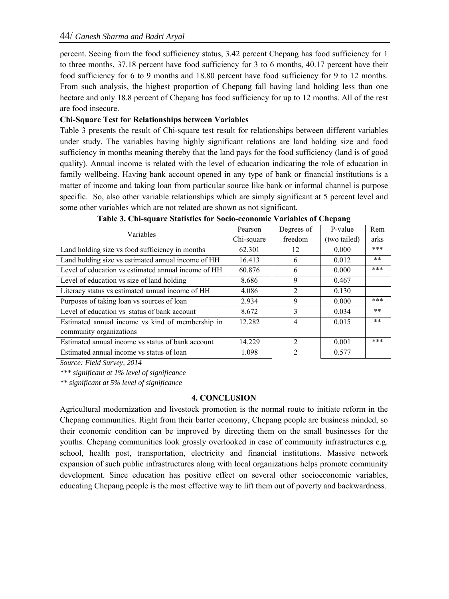percent. Seeing from the food sufficiency status, 3.42 percent Chepang has food sufficiency for 1 to three months, 37.18 percent have food sufficiency for 3 to 6 months, 40.17 percent have their food sufficiency for 6 to 9 months and 18.80 percent have food sufficiency for 9 to 12 months. From such analysis, the highest proportion of Chepang fall having land holding less than one hectare and only 18.8 percent of Chepang has food sufficiency for up to 12 months. All of the rest are food insecure.

# **Chi-Square Test for Relationships between Variables**

Table 3 presents the result of Chi-square test result for relationships between different variables under study. The variables having highly significant relations are land holding size and food sufficiency in months meaning thereby that the land pays for the food sufficiency (land is of good quality). Annual income is related with the level of education indicating the role of education in family wellbeing. Having bank account opened in any type of bank or financial institutions is a matter of income and taking loan from particular source like bank or informal channel is purpose specific. So, also other variable relationships which are simply significant at 5 percent level and some other variables which are not related are shown as not significant.

| Variables                                           | Pearson    | Degrees of                    | P-value      | Rem   |
|-----------------------------------------------------|------------|-------------------------------|--------------|-------|
|                                                     | Chi-square | freedom                       | (two tailed) | arks  |
| Land holding size vs food sufficiency in months     | 62.301     | 12                            | 0.000        | ***   |
| Land holding size vs estimated annual income of HH  | 16.413     | 6                             | 0.012        | $***$ |
| Level of education vs estimated annual income of HH | 60.876     | 6                             | 0.000        | ***   |
| Level of education vs size of land holding          | 8.686      | 9                             | 0.467        |       |
| Literacy status vs estimated annual income of HH    | 4.086      | $\mathfrak{D}_{\mathfrak{p}}$ | 0.130        |       |
| Purposes of taking loan vs sources of loan          | 2.934      | 9                             | 0.000        | $***$ |
| Level of education vs status of bank account        | 8.672      | 3                             | 0.034        | $***$ |
| Estimated annual income vs kind of membership in    | 12.282     | 4                             | 0.015        | $**$  |
| community organizations                             |            |                               |              |       |
| Estimated annual income vs status of bank account   | 14.229     | $\mathfrak{D}$                | 0.001        | $***$ |
| Estimated annual income vs status of loan           | 1.098      | $\mathfrak{D}$                | 0.577        |       |

**Table 3. Chi-square Statistics for Socio-economic Variables of Chepang** 

*Source: Field Survey, 2014* 

*\*\*\* significant at 1% level of significance* 

*\*\* significant at 5% level of significance* 

## **4. CONCLUSION**

Agricultural modernization and livestock promotion is the normal route to initiate reform in the Chepang communities. Right from their barter economy, Chepang people are business minded, so their economic condition can be improved by directing them on the small businesses for the youths. Chepang communities look grossly overlooked in case of community infrastructures e.g. school, health post, transportation, electricity and financial institutions. Massive network expansion of such public infrastructures along with local organizations helps promote community development. Since education has positive effect on several other socioeconomic variables, educating Chepang people is the most effective way to lift them out of poverty and backwardness.